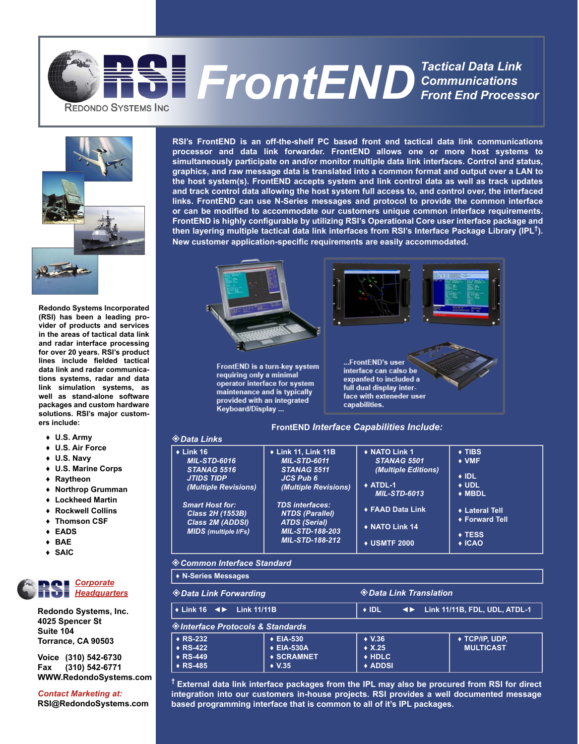



**Redondo Systems Incorporated (RSI) has been a leading provider of products and services in the areas of tactical data link and radar interface processing for over 20 years. RSI's product lines include fielded tactical data link and radar communications systems, radar and data link simulation systems, as well as stand-alone software packages and custom hardware solutions. RSI's major customers include:**

- **♦ U.S. Army**
- **♦ U.S. Air Force**
- **♦ U.S. Navy**
- **♦ U.S. Marine Corps**
- **♦ Raytheon**
- **♦ Northrop Grumman**
- **♦ Lockheed Martin**
- **♦ Rockwell Collins Thomson CSF**
- **♦ EADS**
- **♦ BAE**
- **♦ SAIC**
- *Corporate Headquarters*

**Redondo Systems, Inc. 4025 Spencer St Suite 104 Torrance, CA 90503**

**Voice (310) 542-6730 Fax (310) 542-6771 WWW.RedondoSystems.com**

*Contact Marketing at:* **RSI@RedondoSystems.com**

**RSI's FrontEND is an off-the-shelf PC based front end tactical data link communications processor and data link forwarder. FrontEND allows one or more host systems to simultaneously participate on and/or monitor multiple data link interfaces. Control and status, graphics, and raw message data is translated into a common format and output over a LAN to the host system(s). FrontEND accepts system and link control data as well as track updates and track control data allowing the host system full access to, and control over, the interfaced links. FrontEND can use N-Series messages and protocol to provide the common interface or can be modified to accommodate our customers unique common interface requirements. FrontEND is highly configurable by utilizing RSI's Operational Core user interface package and then layering multiple tactical data link interfaces from RSI's Interface Package Library (IPL† ). New customer application-specific requirements are easily accommodated.**



## **FrontEND** *Interface Capabilities Include:*

| ≫ <i>Da</i> ta Lilins                                                                                                                                                                                                        |                                                                                                                                                                                                                                              |                                                                                                                                                               |                                                                                                                                                               |
|------------------------------------------------------------------------------------------------------------------------------------------------------------------------------------------------------------------------------|----------------------------------------------------------------------------------------------------------------------------------------------------------------------------------------------------------------------------------------------|---------------------------------------------------------------------------------------------------------------------------------------------------------------|---------------------------------------------------------------------------------------------------------------------------------------------------------------|
| $\triangle$ Link 16<br><b>MIL-STD-6016</b><br><b>STANAG 5516</b><br><b>JTIDS TIDP</b><br>(Multiple Revisions)<br><b>Smart Host for:</b><br><b>Class 2H (1553B)</b><br><b>Class 2M (ADDSI)</b><br><b>MIDS</b> (multiple I/Fs) | + Link 11, Link 11B<br><b>MIL-STD-6011</b><br><b>STANAG 5511</b><br><b>JCS Pub 6</b><br>(Multiple Revisions)<br><b>TDS</b> interfaces:<br><b>NTDS (Parallel)</b><br><b>ATDS (Serial)</b><br><b>MIL-STD-188-203</b><br><b>MIL-STD-188-212</b> | ◆ NATO Link 1<br><b>STANAG 5501</b><br>(Multiple Editions)<br>$\triangle$ ATDL-1<br><b>MIL-STD-6013</b><br>◆ FAAD Data Link<br>◆ NATO Link 14<br>◆ USMTF 2000 | $\triangle$ TIBS<br>$\bullet$ VMF<br>$\bullet$ IDL<br>$\bullet$ UDL<br>$\bullet$ MBDL<br>◆ Lateral Tell<br>◆ Forward Tell<br>$\star$ TESS<br>$\triangle$ ICAO |
| <b>◈ Common Interface Standard</b>                                                                                                                                                                                           |                                                                                                                                                                                                                                              |                                                                                                                                                               |                                                                                                                                                               |
| ◆ N-Series Messages                                                                                                                                                                                                          |                                                                                                                                                                                                                                              |                                                                                                                                                               |                                                                                                                                                               |
| ◈ Data Link Forwarding                                                                                                                                                                                                       |                                                                                                                                                                                                                                              | <b><i><b>Oata Link Translation</b></i></b>                                                                                                                    |                                                                                                                                                               |
| $\star$ Link 16 $\blacktriangleleft$ Link 11/11B                                                                                                                                                                             |                                                                                                                                                                                                                                              | $\cdot$ IDL<br>Link 11/11B, FDL, UDL, ATDL-1<br>◂►                                                                                                            |                                                                                                                                                               |
| <b>◈Interface Protocols &amp; Standards</b>                                                                                                                                                                                  |                                                                                                                                                                                                                                              |                                                                                                                                                               |                                                                                                                                                               |
| ◆ RS-232                                                                                                                                                                                                                     | ◆ EIA-530                                                                                                                                                                                                                                    | $\bullet$ V.36                                                                                                                                                | ◆ TCP/IP, UDP,                                                                                                                                                |

**† External data link interface packages from the IPL may also be procured from RSI for direct integration into our customers in-house projects. RSI provides a well documented message based programming interface that is common to all of it's IPL packages.**

**♦ X.25 ♦ HDLC ♦ ADDSI**

**MULTICAST**

**♦ EIA-530A ♦ SCRAMNET ♦ V.35**

# ²*Data Links*

**♦ RS-422 ♦ RS-449 ♦ RS-485**